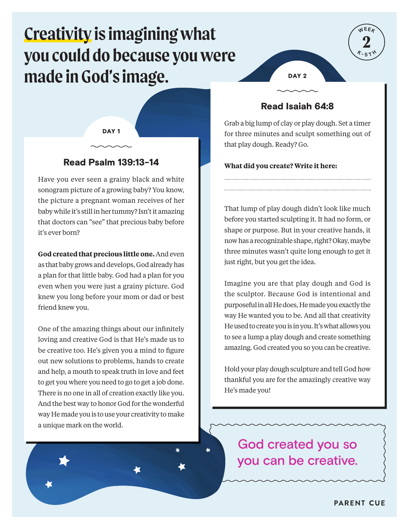# **Creativity is imagining what you could do because you were made in God's image.**

DAY<sub>1</sub>

# Read Psalm 139:13-14

Have you ever seen a grainy black and white sonogram picture of a growing baby? You know, the picture a pregnant woman receives of her baby while it's still in her tummy? Isn't it amazing that doctors can "see" that precious baby before it's ever born?

**God created that precious little one.** And even as that baby grows and develops, God already has a plan for that little baby. God had a plan for you even when you were just a grainy picture. God knew you long before your mom or dad or best friend knew you.

One of the amazing things about our infinitely loving and creative God is that He's made us to be creative too. He's given you a mind to figure out new solutions to problems, hands to create and help, a mouth to speak truth in love and feet to get you where you need to go to get a job done. There is no one in all of creation exactly like you. And the best way to honor God for the wonderful way He made you is to use your creativity to make a unique mark on the world.



## Read Isaiah 64:8

Grab a big lump of clay or play dough. Set a timer for three minutes and sculpt something out of that play dough. Ready? Go.

#### **What did you create? Write it here:**

That lump of play dough didn't look like much before you started sculpting it. It had no form, or shape or purpose. But in your creative hands, it now has a recognizable shape, right? Okay, maybe three minutes wasn't quite long enough to get it just right, but you get the idea.

Imagine you are that play dough and God is the sculptor. Because God is intentional and purposeful in all He does, He made you exactly the way He wanted you to be. And all that creativity He used to create you is in you. It's what allows you to see a lump a play dough and create something amazing. God created you so you can be creative.

Hold your play dough sculpture and tell God how thankful you are for the amazingly creative way He's made you!

God created you so you can be creative.